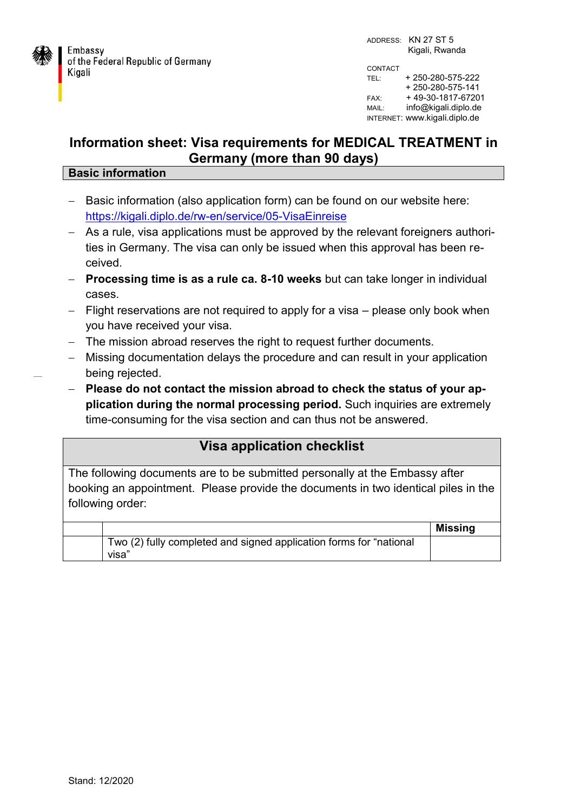

## **Information sheet: Visa requirements for MEDICAL TREATMENT in Germany (more than 90 days)**

## **Basic information**

- Basic information (also application form) can be found on our website here: <https://kigali.diplo.de/rw-en/service/05-VisaEinreise>
- As a rule, visa applications must be approved by the relevant foreigners authorities in Germany. The visa can only be issued when this approval has been received.
- **Processing time is as a rule ca. 8-10 weeks** but can take longer in individual cases.
- $-$  Flight reservations are not required to apply for a visa  $-$  please only book when you have received your visa.
- The mission abroad reserves the right to request further documents.
- Missing documentation delays the procedure and can result in your application being rejected.
- **Please do not contact the mission abroad to check the status of your application during the normal processing period.** Such inquiries are extremely time-consuming for the visa section and can thus not be answered.

## **Visa application checklist**

The following documents are to be submitted personally at the Embassy after booking an appointment. Please provide the documents in two identical piles in the following order:

|                                                                             | Missing |
|-----------------------------------------------------------------------------|---------|
| Two (2) fully completed and signed application forms for "national<br>visa" |         |